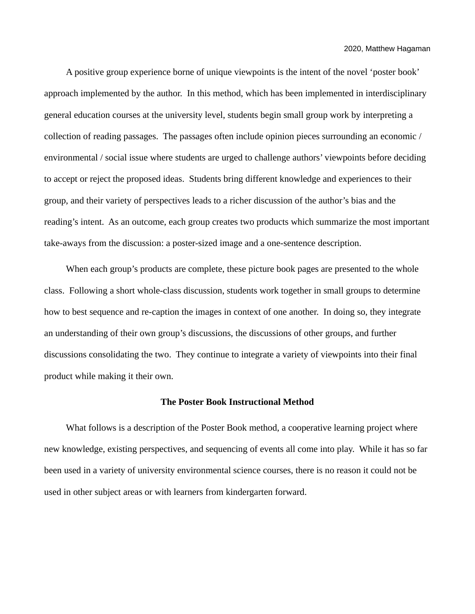A positive group experience borne of unique viewpoints is the intent of the novel 'poster book' approach implemented by the author. In this method, which has been implemented in interdisciplinary general education courses at the university level, students begin small group work by interpreting a collection of reading passages. The passages often include opinion pieces surrounding an economic / environmental / social issue where students are urged to challenge authors' viewpoints before deciding to accept or reject the proposed ideas. Students bring different knowledge and experiences to their group, and their variety of perspectives leads to a richer discussion of the author's bias and the reading's intent. As an outcome, each group creates two products which summarize the most important take-aways from the discussion: a poster-sized image and a one-sentence description.

When each group's products are complete, these picture book pages are presented to the whole class. Following a short whole-class discussion, students work together in small groups to determine how to best sequence and re-caption the images in context of one another. In doing so, they integrate an understanding of their own group's discussions, the discussions of other groups, and further discussions consolidating the two. They continue to integrate a variety of viewpoints into their final product while making it their own.

#### **The Poster Book Instructional Method**

What follows is a description of the Poster Book method, a cooperative learning project where new knowledge, existing perspectives, and sequencing of events all come into play. While it has so far been used in a variety of university environmental science courses, there is no reason it could not be used in other subject areas or with learners from kindergarten forward.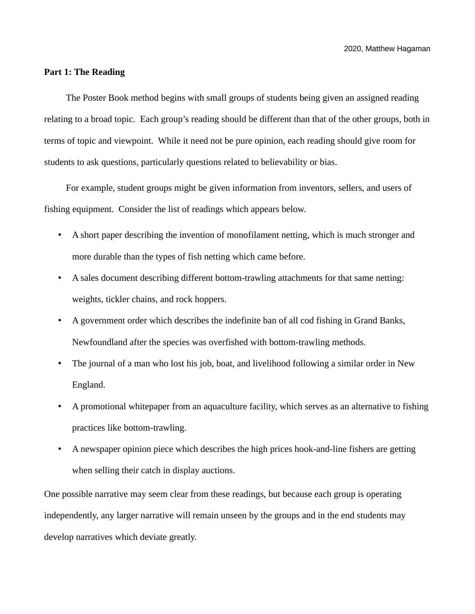# **Part 1: The Reading**

The Poster Book method begins with small groups of students being given an assigned reading relating to a broad topic. Each group's reading should be different than that of the other groups, both in terms of topic and viewpoint. While it need not be pure opinion, each reading should give room for students to ask questions, particularly questions related to believability or bias.

For example, student groups might be given information from inventors, sellers, and users of fishing equipment. Consider the list of readings which appears below.

- A short paper describing the invention of monofilament netting, which is much stronger and more durable than the types of fish netting which came before.
- A sales document describing different bottom-trawling attachments for that same netting: weights, tickler chains, and rock hoppers.
- A government order which describes the indefinite ban of all cod fishing in Grand Banks, Newfoundland after the species was overfished with bottom-trawling methods.
- The journal of a man who lost his job, boat, and livelihood following a similar order in New England.
- A promotional whitepaper from an aquaculture facility, which serves as an alternative to fishing practices like bottom-trawling.
- A newspaper opinion piece which describes the high prices hook-and-line fishers are getting when selling their catch in display auctions.

One possible narrative may seem clear from these readings, but because each group is operating independently, any larger narrative will remain unseen by the groups and in the end students may develop narratives which deviate greatly.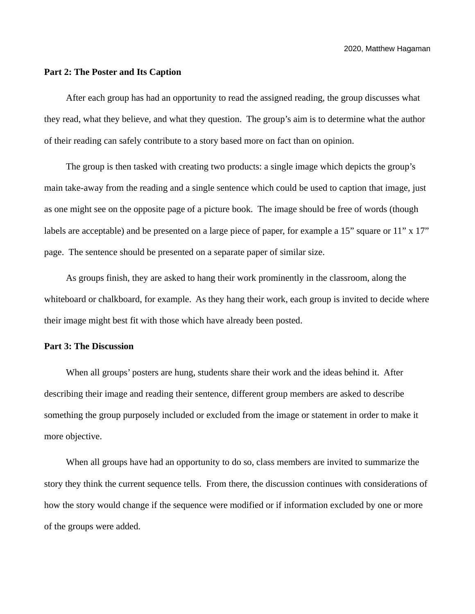## **Part 2: The Poster and Its Caption**

After each group has had an opportunity to read the assigned reading, the group discusses what they read, what they believe, and what they question. The group's aim is to determine what the author of their reading can safely contribute to a story based more on fact than on opinion.

The group is then tasked with creating two products: a single image which depicts the group's main take-away from the reading and a single sentence which could be used to caption that image, just as one might see on the opposite page of a picture book. The image should be free of words (though labels are acceptable) and be presented on a large piece of paper, for example a 15" square or 11" x 17" page. The sentence should be presented on a separate paper of similar size.

As groups finish, they are asked to hang their work prominently in the classroom, along the whiteboard or chalkboard, for example. As they hang their work, each group is invited to decide where their image might best fit with those which have already been posted.

## **Part 3: The Discussion**

When all groups' posters are hung, students share their work and the ideas behind it. After describing their image and reading their sentence, different group members are asked to describe something the group purposely included or excluded from the image or statement in order to make it more objective.

When all groups have had an opportunity to do so, class members are invited to summarize the story they think the current sequence tells. From there, the discussion continues with considerations of how the story would change if the sequence were modified or if information excluded by one or more of the groups were added.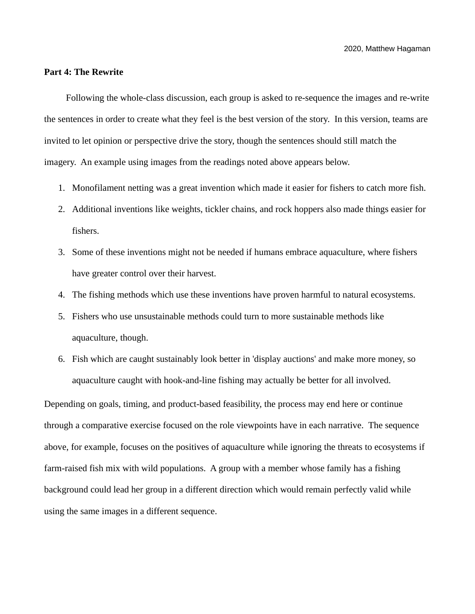## **Part 4: The Rewrite**

Following the whole-class discussion, each group is asked to re-sequence the images and re-write the sentences in order to create what they feel is the best version of the story. In this version, teams are invited to let opinion or perspective drive the story, though the sentences should still match the imagery. An example using images from the readings noted above appears below.

- 1. Monofilament netting was a great invention which made it easier for fishers to catch more fish.
- 2. Additional inventions like weights, tickler chains, and rock hoppers also made things easier for fishers.
- 3. Some of these inventions might not be needed if humans embrace aquaculture, where fishers have greater control over their harvest.
- 4. The fishing methods which use these inventions have proven harmful to natural ecosystems.
- 5. Fishers who use unsustainable methods could turn to more sustainable methods like aquaculture, though.
- 6. Fish which are caught sustainably look better in 'display auctions' and make more money, so aquaculture caught with hook-and-line fishing may actually be better for all involved.

Depending on goals, timing, and product-based feasibility, the process may end here or continue through a comparative exercise focused on the role viewpoints have in each narrative. The sequence above, for example, focuses on the positives of aquaculture while ignoring the threats to ecosystems if farm-raised fish mix with wild populations. A group with a member whose family has a fishing background could lead her group in a different direction which would remain perfectly valid while using the same images in a different sequence.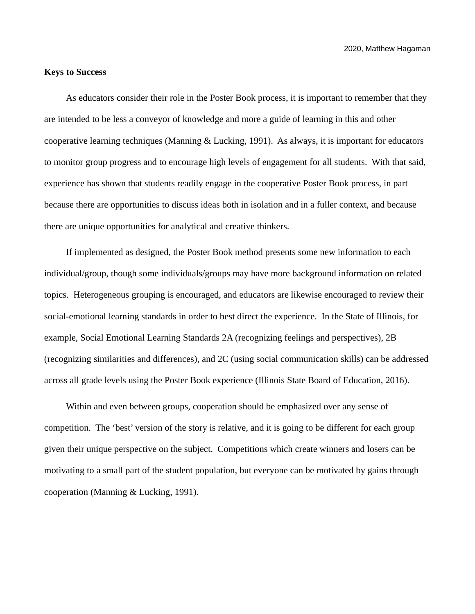2020, Matthew Hagaman

# **Keys to Success**

As educators consider their role in the Poster Book process, it is important to remember that they are intended to be less a conveyor of knowledge and more a guide of learning in this and other cooperative learning techniques (Manning & Lucking, 1991). As always, it is important for educators to monitor group progress and to encourage high levels of engagement for all students. With that said, experience has shown that students readily engage in the cooperative Poster Book process, in part because there are opportunities to discuss ideas both in isolation and in a fuller context, and because there are unique opportunities for analytical and creative thinkers.

If implemented as designed, the Poster Book method presents some new information to each individual/group, though some individuals/groups may have more background information on related topics. Heterogeneous grouping is encouraged, and educators are likewise encouraged to review their social-emotional learning standards in order to best direct the experience. In the State of Illinois, for example, Social Emotional Learning Standards 2A (recognizing feelings and perspectives), 2B (recognizing similarities and differences), and 2C (using social communication skills) can be addressed across all grade levels using the Poster Book experience (Illinois State Board of Education, 2016).

Within and even between groups, cooperation should be emphasized over any sense of competition. The 'best' version of the story is relative, and it is going to be different for each group given their unique perspective on the subject. Competitions which create winners and losers can be motivating to a small part of the student population, but everyone can be motivated by gains through cooperation (Manning & Lucking, 1991).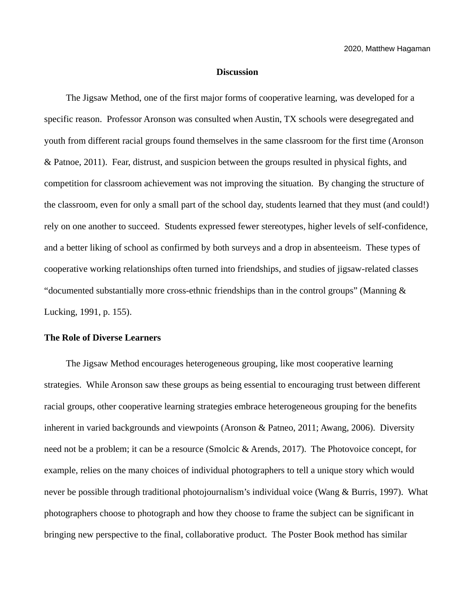### **Discussion**

The Jigsaw Method, one of the first major forms of cooperative learning, was developed for a specific reason. Professor Aronson was consulted when Austin, TX schools were desegregated and youth from different racial groups found themselves in the same classroom for the first time (Aronson & Patnoe, 2011). Fear, distrust, and suspicion between the groups resulted in physical fights, and competition for classroom achievement was not improving the situation. By changing the structure of the classroom, even for only a small part of the school day, students learned that they must (and could!) rely on one another to succeed. Students expressed fewer stereotypes, higher levels of self-confidence, and a better liking of school as confirmed by both surveys and a drop in absenteeism. These types of cooperative working relationships often turned into friendships, and studies of jigsaw-related classes "documented substantially more cross-ethnic friendships than in the control groups" (Manning & Lucking, 1991, p. 155).

## **The Role of Diverse Learners**

The Jigsaw Method encourages heterogeneous grouping, like most cooperative learning strategies. While Aronson saw these groups as being essential to encouraging trust between different racial groups, other cooperative learning strategies embrace heterogeneous grouping for the benefits inherent in varied backgrounds and viewpoints (Aronson & Patneo, 2011; Awang, 2006). Diversity need not be a problem; it can be a resource (Smolcic & Arends, 2017). The Photovoice concept, for example, relies on the many choices of individual photographers to tell a unique story which would never be possible through traditional photojournalism's individual voice (Wang & Burris, 1997). What photographers choose to photograph and how they choose to frame the subject can be significant in bringing new perspective to the final, collaborative product. The Poster Book method has similar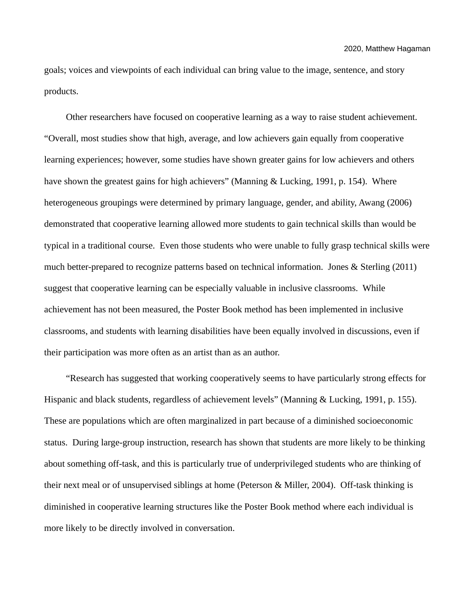goals; voices and viewpoints of each individual can bring value to the image, sentence, and story products.

Other researchers have focused on cooperative learning as a way to raise student achievement. "Overall, most studies show that high, average, and low achievers gain equally from cooperative learning experiences; however, some studies have shown greater gains for low achievers and others have shown the greatest gains for high achievers" (Manning & Lucking, 1991, p. 154). Where heterogeneous groupings were determined by primary language, gender, and ability, Awang (2006) demonstrated that cooperative learning allowed more students to gain technical skills than would be typical in a traditional course. Even those students who were unable to fully grasp technical skills were much better-prepared to recognize patterns based on technical information. Jones & Sterling (2011) suggest that cooperative learning can be especially valuable in inclusive classrooms. While achievement has not been measured, the Poster Book method has been implemented in inclusive classrooms, and students with learning disabilities have been equally involved in discussions, even if their participation was more often as an artist than as an author.

"Research has suggested that working cooperatively seems to have particularly strong effects for Hispanic and black students, regardless of achievement levels" (Manning & Lucking, 1991, p. 155). These are populations which are often marginalized in part because of a diminished socioeconomic status. During large-group instruction, research has shown that students are more likely to be thinking about something off-task, and this is particularly true of underprivileged students who are thinking of their next meal or of unsupervised siblings at home (Peterson & Miller, 2004). Off-task thinking is diminished in cooperative learning structures like the Poster Book method where each individual is more likely to be directly involved in conversation.